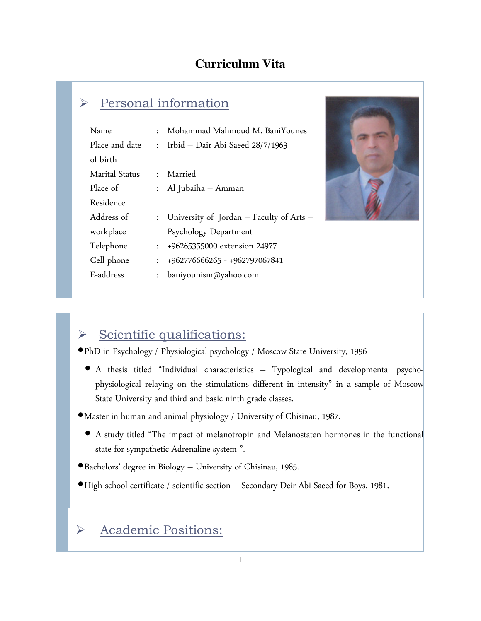### **Curriculum Vita**

# Personal information

| Name                  | $\bullet$ .          | Mohammad Mahmoud M. BaniYounes             |
|-----------------------|----------------------|--------------------------------------------|
| Place and date        |                      | : Irbid - Dair Abi Saeed $28/7/1963$       |
| of birth              |                      |                                            |
| <b>Marital Status</b> |                      | : Married                                  |
| Place of              |                      | : Al Jubaiha – Amman                       |
| Residence             |                      |                                            |
| Address of            |                      | : University of Jordan - Faculty of Arts - |
| workplace             |                      | Psychology Department                      |
| Telephone             | $\mathbf{r}$         | +96265355000 extension 24977               |
| Cell phone            | $\mathbf{r}$         | +962776666265 - +962797067841              |
| E-address             | $\ddot{\phantom{0}}$ | baniyounism@yahoo.com                      |



# $\triangleright$  Scientific qualifications:

- •PhD in Psychology / Physiological psychology / Moscow State University, 1996
	- A thesis titled "Individual characteristics Typological and developmental psychophysiological relaying on the stimulations different in intensity" in a sample of Moscow State University and third and basic ninth grade classes.
- •Master in human and animal physiology / University of Chisinau, 1987.
	- A study titled "The impact of melanotropin and Melanostaten hormones in the functional state for sympathetic Adrenaline system ".
- •Bachelors' degree in Biology University of Chisinau, 1985.
- •High school certificate / scientific section Secondary Deir Abi Saeed for Boys, 1981.

### Academic Positions: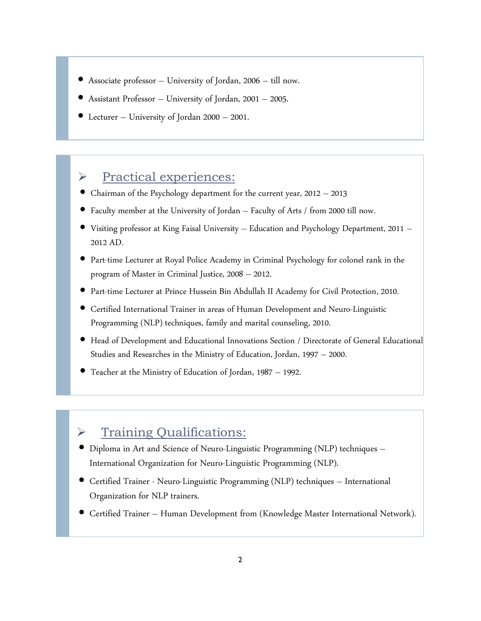- Associate professor University of Jordan, 2006 till now.
- Assistant Professor University of Jordan, 2001 2005.
- Lecturer University of Jordan 2000 2001.

#### $\triangleright$  Practical experiences:

- Chairman of the Psychology department for the current year, 2012 2013
- Faculty member at the University of Jordan Faculty of Arts / from 2000 till now.
- Visiting professor at King Faisal University Education and Psychology Department, 2011 2012 AD.
- Part-time Lecturer at Royal Police Academy in Criminal Psychology for colonel rank in the program of Master in Criminal Justice, 2008 – 2012.
- Part-time Lecturer at Prince Hussein Bin Abdullah II Academy for Civil Protection, 2010.
- Certified International Trainer in areas of Human Development and Neuro-Linguistic Programming (NLP) techniques, family and marital counseling, 2010.
- Head of Development and Educational Innovations Section / Directorate of General Educational Studies and Researches in the Ministry of Education, Jordan, 1997 – 2000.
- Teacher at the Ministry of Education of Jordan, 1987 1992.

#### > Training Qualifications:

- Diploma in Art and Science of Neuro-Linguistic Programming (NLP) techniques International Organization for Neuro-Linguistic Programming (NLP).
- Certified Trainer Neuro-Linguistic Programming (NLP) techniques International Organization for NLP trainers.
- Certified Trainer Human Development from (Knowledge Master International Network).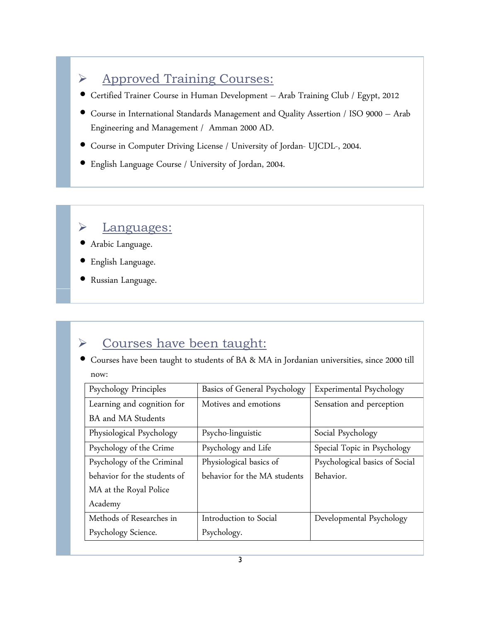# ◆ Approved Training Courses:

- Certified Trainer Course in Human Development Arab Training Club / Egypt, 2012
- Course in International Standards Management and Quality Assertion / ISO 9000 Arab Engineering and Management / Amman 2000 AD.
- Course in Computer Driving License / University of Jordan- UJCDL-, 2004.
- English Language Course / University of Jordan, 2004.

### Languages:

- Arabic Language.
- English Language.
- Russian Language.

# → Courses have been taught:

• Courses have been taught to students of BA & MA in Jordanian universities, since 2000 till now:

| Psychology Principles        | Basics of General Psychology | Experimental Psychology        |
|------------------------------|------------------------------|--------------------------------|
| Learning and cognition for   | Motives and emotions         | Sensation and perception       |
| <b>BA</b> and MA Students    |                              |                                |
| Physiological Psychology     | Psycho-linguistic            | Social Psychology              |
| Psychology of the Crime      | Psychology and Life          | Special Topic in Psychology    |
| Psychology of the Criminal   | Physiological basics of      | Psychological basics of Social |
| behavior for the students of | behavior for the MA students | Behavior.                      |
| MA at the Royal Police       |                              |                                |
| Academy                      |                              |                                |
| Methods of Researches in     | Introduction to Social       | Developmental Psychology       |
| Psychology Science.          | Psychology.                  |                                |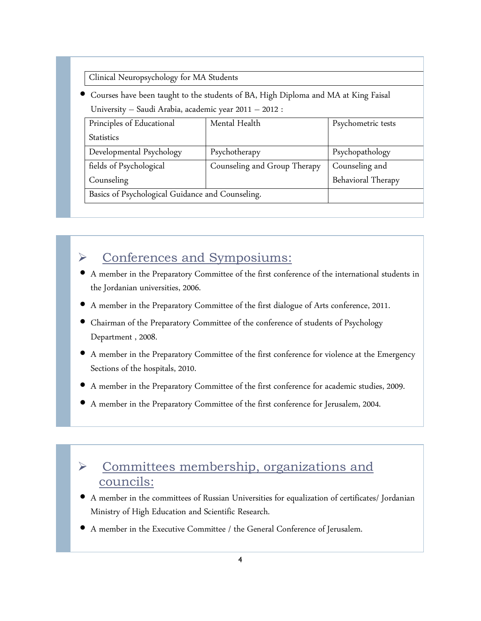Clinical Neuropsychology for MA Students

• Courses have been taught to the students of BA, High Diploma and MA at King Faisal University – Saudi Arabia, academic year 2011 – 2012 :

| Principles of Educational                        | Mental Health                | Psychometric tests |
|--------------------------------------------------|------------------------------|--------------------|
| <b>Statistics</b>                                |                              |                    |
| Developmental Psychology                         | Psychotherapy                | Psychopathology    |
| fields of Psychological                          | Counseling and Group Therapy | Counseling and     |
| Counseling                                       |                              | Behavioral Therapy |
| Basics of Psychological Guidance and Counseling. |                              |                    |

### Conferences and Symposiums:

- A member in the Preparatory Committee of the first conference of the international students in the Jordanian universities, 2006.
- A member in the Preparatory Committee of the first dialogue of Arts conference, 2011.
- Chairman of the Preparatory Committee of the conference of students of Psychology Department , 2008.
- A member in the Preparatory Committee of the first conference for violence at the Emergency Sections of the hospitals, 2010.
- A member in the Preparatory Committee of the first conference for academic studies, 2009.
- A member in the Preparatory Committee of the first conference for Jerusalem, 2004.

# **►** Committees membership, organizations and councils:

- A member in the committees of Russian Universities for equalization of certificates/ Jordanian Ministry of High Education and Scientific Research.
- A member in the Executive Committee / the General Conference of Jerusalem.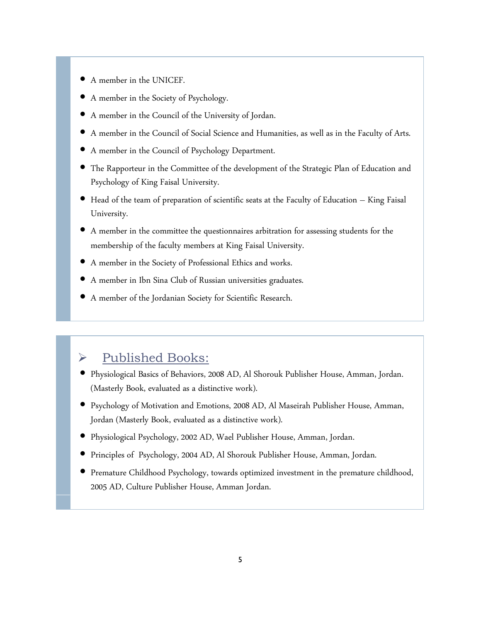- A member in the UNICEF.
- A member in the Society of Psychology.
- A member in the Council of the University of Jordan.
- A member in the Council of Social Science and Humanities, as well as in the Faculty of Arts.
- A member in the Council of Psychology Department.
- The Rapporteur in the Committee of the development of the Strategic Plan of Education and Psychology of King Faisal University.
- Head of the team of preparation of scientific seats at the Faculty of Education King Faisal University.
- A member in the committee the questionnaires arbitration for assessing students for the membership of the faculty members at King Faisal University.
- A member in the Society of Professional Ethics and works.
- A member in Ibn Sina Club of Russian universities graduates.
- A member of the Jordanian Society for Scientific Research.

### $\triangleright$  Published Books:

- Physiological Basics of Behaviors, 2008 AD, Al Shorouk Publisher House, Amman, Jordan. (Masterly Book, evaluated as a distinctive work).
- Psychology of Motivation and Emotions, 2008 AD, Al Maseirah Publisher House, Amman, Jordan (Masterly Book, evaluated as a distinctive work).
- Physiological Psychology, 2002 AD, Wael Publisher House, Amman, Jordan.
- Principles of Psychology, 2004 AD, Al Shorouk Publisher House, Amman, Jordan.
- Premature Childhood Psychology, towards optimized investment in the premature childhood, 2005 AD, Culture Publisher House, Amman Jordan.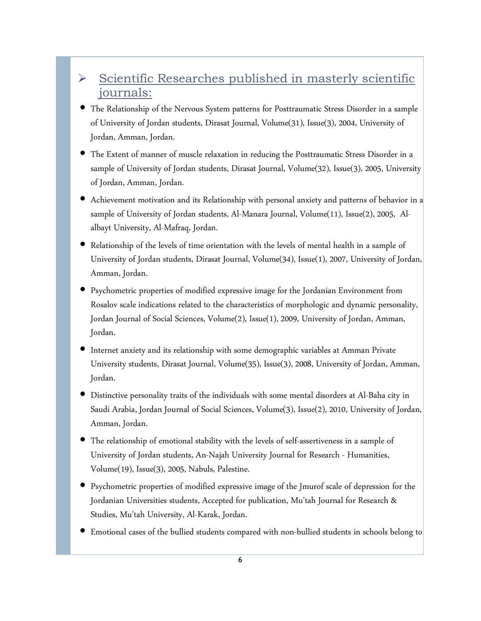### $\triangleright$  Scientific Researches published in masterly scientific journals:

- The Relationship of the Nervous System patterns for Posttraumatic Stress Disorder in a sample of University of Jordan students, Dirasat Journal, Volume(31), Issue(3), 2004, University of Jordan, Amman, Jordan.
- The Extent of manner of muscle relaxation in reducing the Posttraumatic Stress Disorder in a sample of University of Jordan students, Dirasat Journal, Volume(32), Issue(3), 2005, University of Jordan, Amman, Jordan.
- Achievement motivation and its Relationship with personal anxiety and patterns of behavior in a sample of University of Jordan students, Al-Manara Journal, Volume(11), Issue(2), 2005, Alalbayt University, Al-Mafraq, Jordan.
- Relationship of the levels of time orientation with the levels of mental health in a sample of University of Jordan students, Dirasat Journal, Volume(34), Issue(1), 2007, University of Jordan, Amman, Jordan.
- Psychometric properties of modified expressive image for the Jordanian Environment from Rosalov scale indications related to the characteristics of morphologic and dynamic personality, Jordan Journal of Social Sciences, Volume(2), Issue(1), 2009, University of Jordan, Amman, Jordan.
- Internet anxiety and its relationship with some demographic variables at Amman Private University students, Dirasat Journal, Volume(35), Issue(3), 2008, University of Jordan, Amman, Jordan.
- Distinctive personality traits of the individuals with some mental disorders at Al-Baha city in Saudi Arabia, Jordan Journal of Social Sciences, Volume(3), Issue(2), 2010, University of Jordan, Amman, Jordan.
- The relationship of emotional stability with the levels of self-assertiveness in a sample of University of Jordan students, An-Najah University Journal for Research - Humanities, Volume(19), Issue(3), 2005, Nabuls, Palestine.
- Psychometric properties of modified expressive image of the Jmurof scale of depression for the Jordanian Universities students, Accepted for publication, Mu'tah Journal for Research & Studies, Mu'tah University, Al-Karak, Jordan.
- Emotional cases of the bullied students compared with non-bullied students in schools belong to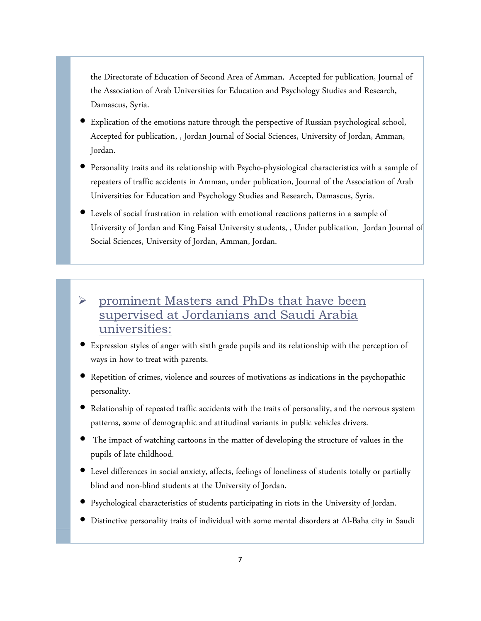the Directorate of Education of Second Area of Amman, Accepted for publication, Journal of the Association of Arab Universities for Education and Psychology Studies and Research, Damascus, Syria.

- Explication of the emotions nature through the perspective of Russian psychological school, Accepted for publication, , Jordan Journal of Social Sciences, University of Jordan, Amman, Jordan.
- Personality traits and its relationship with Psycho-physiological characteristics with a sample of repeaters of traffic accidents in Amman, under publication, Journal of the Association of Arab Universities for Education and Psychology Studies and Research, Damascus, Syria.
- Levels of social frustration in relation with emotional reactions patterns in a sample of University of Jordan and King Faisal University students, , Under publication, Jordan Journal of Social Sciences, University of Jordan, Amman, Jordan.
- prominent Masters and PhDs that have been supervised at Jordanians and Saudi Arabia universities:
- Expression styles of anger with sixth grade pupils and its relationship with the perception of ways in how to treat with parents.
- Repetition of crimes, violence and sources of motivations as indications in the psychopathic personality.
- Relationship of repeated traffic accidents with the traits of personality, and the nervous system patterns, some of demographic and attitudinal variants in public vehicles drivers.
- The impact of watching cartoons in the matter of developing the structure of values in the pupils of late childhood.
- Level differences in social anxiety, affects, feelings of loneliness of students totally or partially blind and non-blind students at the University of Jordan.
- Psychological characteristics of students participating in riots in the University of Jordan.
- Distinctive personality traits of individual with some mental disorders at Al-Baha city in Saudi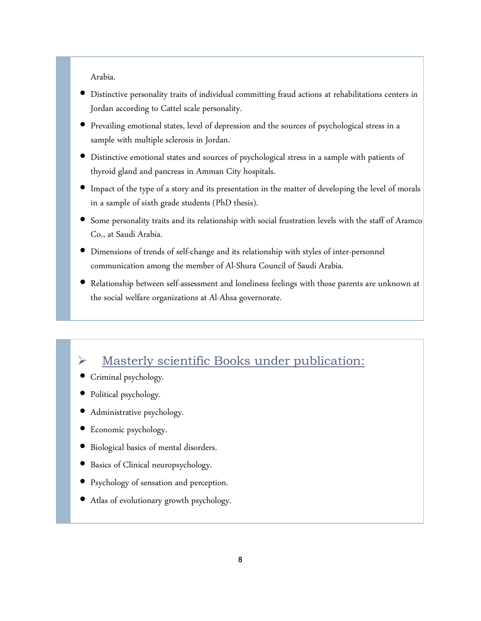Arabia.

- Distinctive personality traits of individual committing fraud actions at rehabilitations centers in Jordan according to Cattel scale personality.
- Prevailing emotional states, level of depression and the sources of psychological stress in a sample with multiple sclerosis in Jordan.
- Distinctive emotional states and sources of psychological stress in a sample with patients of thyroid gland and pancreas in Amman City hospitals.
- Impact of the type of a story and its presentation in the matter of developing the level of morals in a sample of sixth grade students (PhD thesis).
- Some personality traits and its relationship with social frustration levels with the staff of Aramco Co., at Saudi Arabia.
- Dimensions of trends of self-change and its relationship with styles of inter-personnel communication among the member of Al-Shura Council of Saudi Arabia.
- Relationship between self-assessment and loneliness feelings with those parents are unknown at the social welfare organizations at Al-Ahsa governorate.

### Masterly scientific Books under publication:

- Criminal psychology.
- Political psychology.
- Administrative psychology.
- Economic psychology.
- Biological basics of mental disorders.
- Basics of Clinical neuropsychology.
- Psychology of sensation and perception.
- Atlas of evolutionary growth psychology.